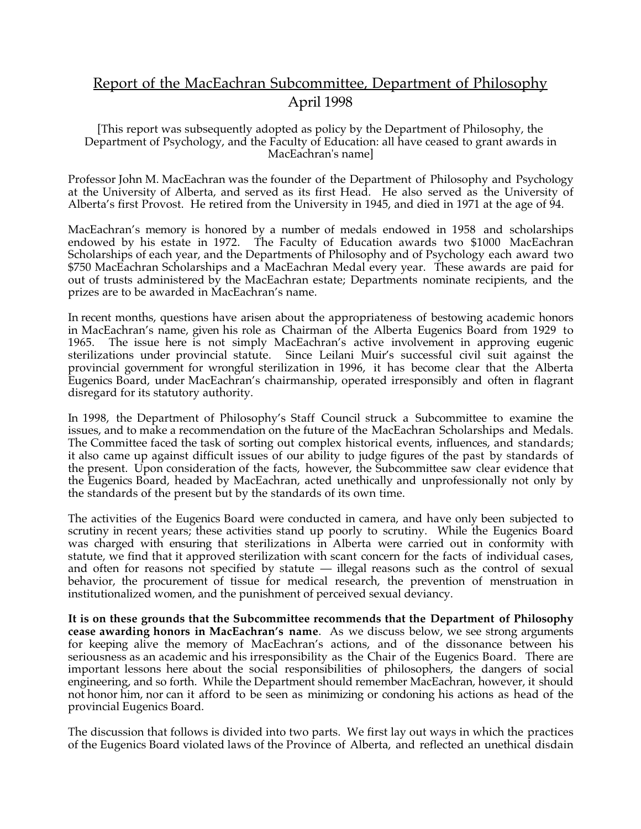# Report of the MacEachran Subcommittee, Department of Philosophy April 1998

[This report was subsequently adopted as policy by the Department of Philosophy, the Department of Psychology, and the Faculty of Education: all have ceased to grant awards in MacEachran's name]

Professor John M. MacEachran was the founder of the Department of Philosophy and Psychology at the University of Alberta, and served as its first Head. He also served as the University of Alberta's first Provost. He retired from the University in 1945, and died in 1971 at the age of 94.

MacEachran's memory is honored by a number of medals endowed in 1958 and scholarships endowed by his estate in 1972. The Faculty of Education awards two \$1000 MacEachran Scholarships of each year, and the Departments of Philosophy and of Psychology each award two \$750 MacEachran Scholarships and a MacEachran Medal every year. These awards are paid for out of trusts administered by the MacEachran estate; Departments nominate recipients, and the prizes are to be awarded in MacEachran's name.

In recent months, questions have arisen about the appropriateness of bestowing academic honors in MacEachran's name, given his role as Chairman of the Alberta Eugenics Board from 1929 to 1965. The issue here is not simply MacEachran's active involvement in approving eugenic sterilizations under provincial statute. Since Leilani Muir's successful civil suit against the provincial government for wrongful sterilization in 1996, it has become clear that the Alberta Eugenics Board, under MacEachran's chairmanship, operated irresponsibly and often in flagrant disregard for its statutory authority.

In 1998, the Department of Philosophy's Staff Council struck a Subcommittee to examine the issues, and to make a recommendation on the future of the MacEachran Scholarships and Medals. The Committee faced the task of sorting out complex historical events, influences, and standards; it also came up against difficult issues of our ability to judge figures of the past by standards of the present. Upon consideration of the facts, however, the Subcommittee saw clear evidence that the Eugenics Board, headed by MacEachran, acted unethically and unprofessionally not only by the standards of the present but by the standards of its own time.

The activities of the Eugenics Board were conducted in camera, and have only been subjected to scrutiny in recent years; these activities stand up poorly to scrutiny. While the Eugenics Board was charged with ensuring that sterilizations in Alberta were carried out in conformity with statute, we find that it approved sterilization with scant concern for the facts of individual cases, and often for reasons not specified by statute — illegal reasons such as the control of sexual behavior, the procurement of tissue for medical research, the prevention of menstruation in institutionalized women, and the punishment of perceived sexual deviancy.

**It is on these grounds that the Subcommittee recommends that the Department of Philosophy cease awarding honors in MacEachran's name**. As we discuss below, we see strong arguments for keeping alive the memory of MacEachran's actions, and of the dissonance between his seriousness as an academic and his irresponsibility as the Chair of the Eugenics Board. There are important lessons here about the social responsibilities of philosophers, the dangers of social engineering, and so forth. While the Department should remember MacEachran, however, it should not honor him, nor can it afford to be seen as minimizing or condoning his actions as head of the provincial Eugenics Board.

The discussion that follows is divided into two parts. We first lay out ways in which the practices of the Eugenics Board violated laws of the Province of Alberta, and reflected an unethical disdain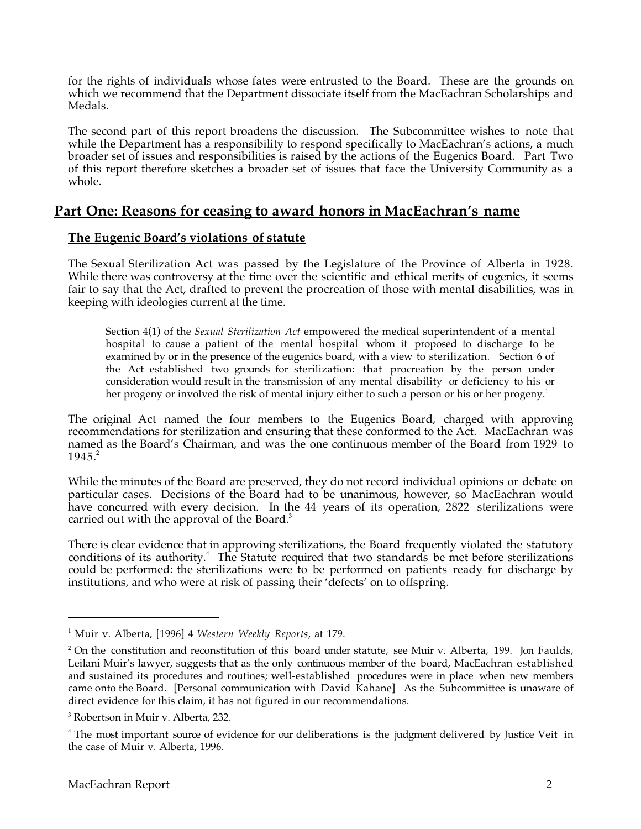for the rights of individuals whose fates were entrusted to the Board. These are the grounds on which we recommend that the Department dissociate itself from the MacEachran Scholarships and Medals.

The second part of this report broadens the discussion. The Subcommittee wishes to note that while the Department has a responsibility to respond specifically to MacEachran's actions, a much broader set of issues and responsibilities is raised by the actions of the Eugenics Board. Part Two of this report therefore sketches a broader set of issues that face the University Community as a whole.

### **Part One: Reasons for ceasing to award honors in MacEachran's name**

#### **The Eugenic Board's violations of statute**

The Sexual Sterilization Act was passed by the Legislature of the Province of Alberta in 1928. While there was controversy at the time over the scientific and ethical merits of eugenics, it seems fair to say that the Act, drafted to prevent the procreation of those with mental disabilities, was in keeping with ideologies current at the time.

Section 4(1) of the *Sexual Sterilization Act* empowered the medical superintendent of a mental hospital to cause a patient of the mental hospital whom it proposed to discharge to be examined by or in the presence of the eugenics board, with a view to sterilization. Section 6 of the Act established two grounds for sterilization: that procreation by the person under consideration would result in the transmission of any mental disability or deficiency to his or her progeny or involved the risk of mental injury either to such a person or his or her progeny.<sup>1</sup>

The original Act named the four members to the Eugenics Board, charged with approving recommendations for sterilization and ensuring that these conformed to the Act. MacEachran was named as the Board's Chairman, and was the one continuous member of the Board from 1929 to  $1945.<sup>2</sup>$ 

While the minutes of the Board are preserved, they do not record individual opinions or debate on particular cases. Decisions of the Board had to be unanimous, however, so MacEachran would have concurred with every decision. In the 44 years of its operation, 2822 sterilizations were carried out with the approval of the Board.<sup>3</sup>

There is clear evidence that in approving sterilizations, the Board frequently violated the statutory conditions of its authority.<sup>4</sup> The Statute required that two standards be met before sterilizations could be performed: the sterilizations were to be performed on patients ready for discharge by institutions, and who were at risk of passing their 'defects' on to offspring.

 $\overline{a}$ 

<sup>1</sup> Muir v. Alberta, [1996] 4 *Western Weekly Reports*, at 179.

 $2$  On the constitution and reconstitution of this board under statute, see Muir v. Alberta, 199. Jon Faulds, Leilani Muir's lawyer, suggests that as the only continuous member of the board, MacEachran established and sustained its procedures and routines; well-established procedures were in place when new members came onto the Board. [Personal communication with David Kahane] As the Subcommittee is unaware of direct evidence for this claim, it has not figured in our recommendations.

<sup>3</sup> Robertson in Muir v. Alberta, 232.

<sup>&</sup>lt;sup>4</sup> The most important source of evidence for our deliberations is the judgment delivered by Justice Veit in the case of Muir v. Alberta, 1996.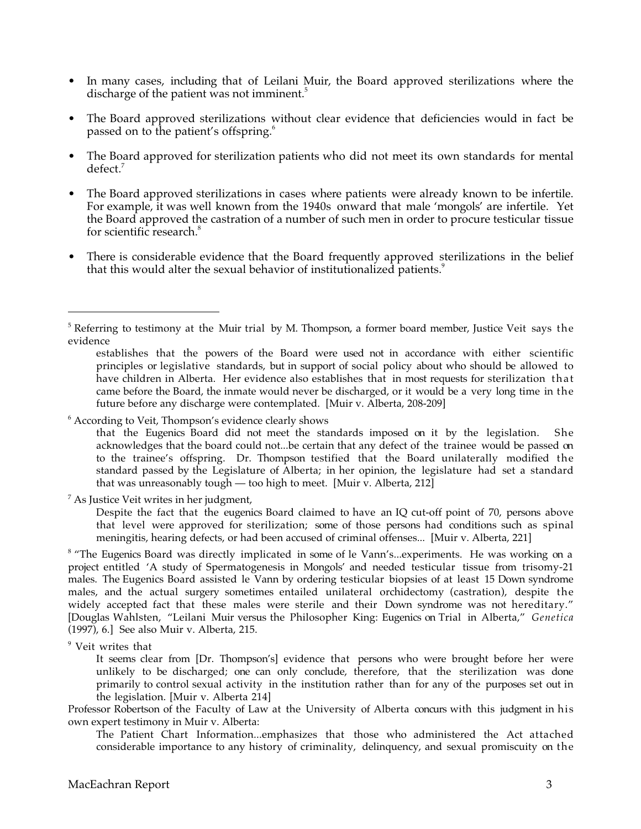- In many cases, including that of Leilani Muir, the Board approved sterilizations where the discharge of the patient was not imminent.<sup>5</sup>
- The Board approved sterilizations without clear evidence that deficiencies would in fact be passed on to the patient's offspring.6
- The Board approved for sterilization patients who did not meet its own standards for mental defect.<sup>7</sup>
- The Board approved sterilizations in cases where patients were already known to be infertile. For example, it was well known from the 1940s onward that male 'mongols' are infertile. Yet the Board approved the castration of a number of such men in order to procure testicular tissue for scientific research.<sup>8</sup>
- There is considerable evidence that the Board frequently approved sterilizations in the belief that this would alter the sexual behavior of institutionalized patients.<sup>9</sup>

<sup>6</sup> According to Veit, Thompson's evidence clearly shows

that the Eugenics Board did not meet the standards imposed on it by the legislation. She acknowledges that the board could not...be certain that any defect of the trainee would be passed on to the trainee's offspring. Dr. Thompson testified that the Board unilaterally modified the standard passed by the Legislature of Alberta; in her opinion, the legislature had set a standard that was unreasonably tough — too high to meet. [Muir v. Alberta, 212]

 $^7$  As Justice Veit writes in her judgment,

Despite the fact that the eugenics Board claimed to have an IQ cut-off point of 70, persons above that level were approved for sterilization; some of those persons had conditions such as spinal meningitis, hearing defects, or had been accused of criminal offenses... [Muir v. Alberta, 221]

<sup>8</sup> "The Eugenics Board was directly implicated in some of le Vann's...experiments. He was working on a project entitled 'A study of Spermatogenesis in Mongols' and needed testicular tissue from trisomy-21 males. The Eugenics Board assisted le Vann by ordering testicular biopsies of at least 15 Down syndrome males, and the actual surgery sometimes entailed unilateral orchidectomy (castration), despite the widely accepted fact that these males were sterile and their Down syndrome was not hereditary." [Douglas Wahlsten, "Leilani Muir versus the Philosopher King: Eugenics on Trial in Alberta," *Genetica* (1997), 6.] See also Muir v. Alberta, 215.

<sup>9</sup> Veit writes that

-

It seems clear from [Dr. Thompson's] evidence that persons who were brought before her were unlikely to be discharged; one can only conclude, therefore, that the sterilization was done primarily to control sexual activity in the institution rather than for any of the purposes set out in the legislation. [Muir v. Alberta 214]

Professor Robertson of the Faculty of Law at the University of Alberta concurs with this judgment in his own expert testimony in Muir v. Alberta:

The Patient Chart Information...emphasizes that those who administered the Act attached considerable importance to any history of criminality, delinquency, and sexual promiscuity on the

<sup>&</sup>lt;sup>5</sup> Referring to testimony at the Muir trial by M. Thompson, a former board member, Justice Veit says the evidence

establishes that the powers of the Board were used not in accordance with either scientific principles or legislative standards, but in support of social policy about who should be allowed to have children in Alberta. Her evidence also establishes that in most requests for sterilization that came before the Board, the inmate would never be discharged, or it would be a very long time in the future before any discharge were contemplated. [Muir v. Alberta, 208-209]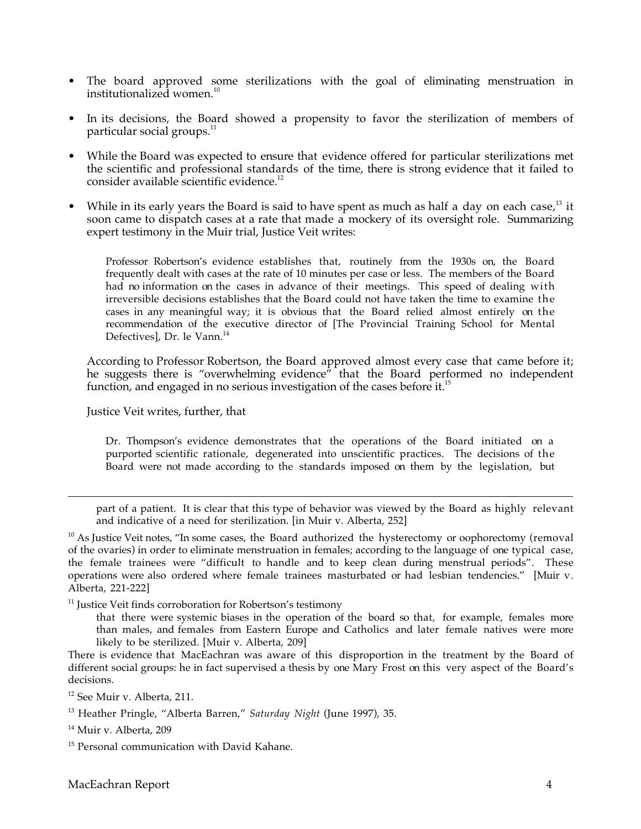- The board approved some sterilizations with the goal of eliminating menstruation in institutionalized women.<sup>10</sup>
- In its decisions, the Board showed a propensity to favor the sterilization of members of particular social groups.<sup>11</sup>
- While the Board was expected to ensure that evidence offered for particular sterilizations met the scientific and professional standards of the time, there is strong evidence that it failed to consider available scientific evidence.<sup>12</sup>
- While in its early years the Board is said to have spent as much as half a day on each case, $^{13}$  it soon came to dispatch cases at a rate that made a mockery of its oversight role. Summarizing expert testimony in the Muir trial, Justice Veit writes:

Professor Robertson's evidence establishes that, routinely from the 1930s on, the Board frequently dealt with cases at the rate of 10 minutes per case or less. The members of the Board had no information on the cases in advance of their meetings. This speed of dealing with irreversible decisions establishes that the Board could not have taken the time to examine the cases in any meaningful way; it is obvious that the Board relied almost entirely on the recommendation of the executive director of [The Provincial Training School for Mental Defectivesl, Dr. le Vann.<sup>14</sup>

According to Professor Robertson, the Board approved almost every case that came before it; he suggests there is "overwhelming evidence" that the Board performed no independent function, and engaged in no serious investigation of the cases before it.<sup>15</sup>

Justice Veit writes, further, that

Dr. Thompson's evidence demonstrates that the operations of the Board initiated on a purported scientific rationale, degenerated into unscientific practices. The decisions of the Board were not made according to the standards imposed on them by the legislation, but

part of a patient. It is clear that this type of behavior was viewed by the Board as highly relevant and indicative of a need for sterilization. [in Muir v. Alberta, 252]

<sup>10</sup> As Justice Veit notes, "In some cases, the Board authorized the hysterectomy or oophorectomy (removal of the ovaries) in order to eliminate menstruation in females; according to the language of one typical case, the female trainees were "difficult to handle and to keep clean during menstrual periods". These operations were also ordered where female trainees masturbated or had lesbian tendencies." [Muir v. Alberta, 221-222]

<sup>11</sup> Justice Veit finds corroboration for Robertson's testimony

that there were systemic biases in the operation of the board so that, for example, females more than males, and females from Eastern Europe and Catholics and later female natives were more likely to be sterilized. [Muir v. Alberta, 209]

There is evidence that MacEachran was aware of this disproportion in the treatment by the Board of different social groups: he in fact supervised a thesis by one Mary Frost on this very aspect of the Board's decisions.

<sup>14</sup> Muir v. Alberta, 209

 $\overline{a}$ 

<sup>12</sup> See Muir v. Alberta, 211.

<sup>13</sup> Heather Pringle, "Alberta Barren," *Saturday Night* (June 1997), 35.

<sup>&</sup>lt;sup>15</sup> Personal communication with David Kahane.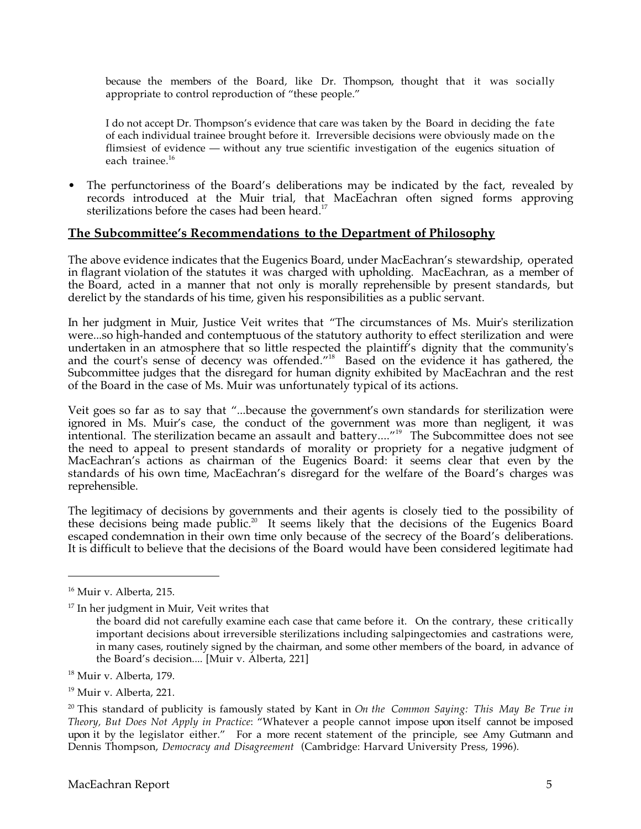because the members of the Board, like Dr. Thompson, thought that it was socially appropriate to control reproduction of "these people."

I do not accept Dr. Thompson's evidence that care was taken by the Board in deciding the fate of each individual trainee brought before it. Irreversible decisions were obviously made on the flimsiest of evidence — without any true scientific investigation of the eugenics situation of each trainee.<sup>16</sup>

• The perfunctoriness of the Board's deliberations may be indicated by the fact, revealed by records introduced at the Muir trial, that MacEachran often signed forms approving sterilizations before the cases had been heard.<sup>17</sup>

#### **The Subcommittee's Recommendations to the Department of Philosophy**

The above evidence indicates that the Eugenics Board, under MacEachran's stewardship, operated in flagrant violation of the statutes it was charged with upholding. MacEachran, as a member of the Board, acted in a manner that not only is morally reprehensible by present standards, but derelict by the standards of his time, given his responsibilities as a public servant.

In her judgment in Muir, Justice Veit writes that "The circumstances of Ms. Muir's sterilization were...so high-handed and contemptuous of the statutory authority to effect sterilization and were undertaken in an atmosphere that so little respected the plaintiff's dignity that the community's and the court's sense of decency was offended."<sup>18</sup> Based on the evidence it has gathered, the Subcommittee judges that the disregard for human dignity exhibited by MacEachran and the rest of the Board in the case of Ms. Muir was unfortunately typical of its actions.

Veit goes so far as to say that "...because the government's own standards for sterilization were ignored in Ms. Muir's case, the conduct of the government was more than negligent, it was intentional. The sterilization became an assault and battery....<sup>"19</sup> The Subcommittee does not see the need to appeal to present standards of morality or propriety for a negative judgment of MacEachran's actions as chairman of the Eugenics Board: it seems clear that even by the standards of his own time, MacEachran's disregard for the welfare of the Board's charges was reprehensible.

The legitimacy of decisions by governments and their agents is closely tied to the possibility of these decisions being made public.<sup>20</sup> It seems likely that the decisions of the Eugenics Board escaped condemnation in their own time only because of the secrecy of the Board's deliberations. It is difficult to believe that the decisions of the Board would have been considered legitimate had

-

<sup>16</sup> Muir v. Alberta, 215.

 $17$  In her judgment in Muir, Veit writes that

the board did not carefully examine each case that came before it. On the contrary, these critically important decisions about irreversible sterilizations including salpingectomies and castrations were, in many cases, routinely signed by the chairman, and some other members of the board, in advance of the Board's decision.... [Muir v. Alberta, 221]

<sup>&</sup>lt;sup>18</sup> Muir v. Alberta, 179.

<sup>19</sup> Muir v. Alberta, 221.

<sup>20</sup> This standard of publicity is famously stated by Kant in *On the Common Saying: This May Be True in Theory, But Does Not Apply in Practice*: "Whatever a people cannot impose upon itself cannot be imposed upon it by the legislator either." For a more recent statement of the principle, see Amy Gutmann and Dennis Thompson, *Democracy and Disagreement* (Cambridge: Harvard University Press, 1996).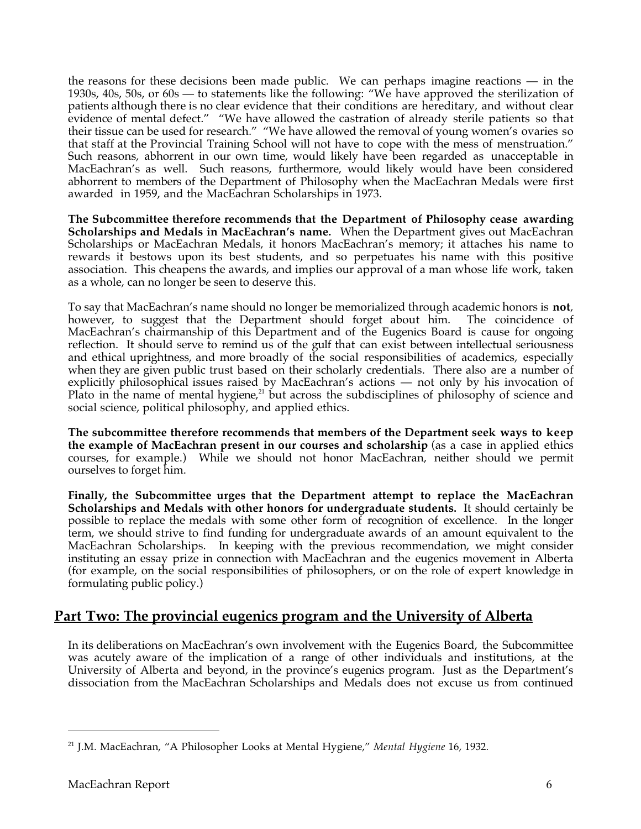the reasons for these decisions been made public. We can perhaps imagine reactions — in the 1930s, 40s, 50s, or 60s — to statements like the following: "We have approved the sterilization of patients although there is no clear evidence that their conditions are hereditary, and without clear evidence of mental defect." "We have allowed the castration of already sterile patients so that their tissue can be used for research." "We have allowed the removal of young women's ovaries so that staff at the Provincial Training School will not have to cope with the mess of menstruation." Such reasons, abhorrent in our own time, would likely have been regarded as unacceptable in MacEachran's as well. Such reasons, furthermore, would likely would have been considered abhorrent to members of the Department of Philosophy when the MacEachran Medals were first awarded in 1959, and the MacEachran Scholarships in 1973.

**The Subcommittee therefore recommends that the Department of Philosophy cease awarding Scholarships and Medals in MacEachran's name.** When the Department gives out MacEachran Scholarships or MacEachran Medals, it honors MacEachran's memory; it attaches his name to rewards it bestows upon its best students, and so perpetuates his name with this positive association. This cheapens the awards, and implies our approval of a man whose life work, taken as a whole, can no longer be seen to deserve this.

To say that MacEachran's name should no longer be memorialized through academic honors is **not**, however, to suggest that the Department should forget about him. The coincidence of MacEachran's chairmanship of this Department and of the Eugenics Board is cause for ongoing reflection. It should serve to remind us of the gulf that can exist between intellectual seriousness and ethical uprightness, and more broadly of the social responsibilities of academics, especially when they are given public trust based on their scholarly credentials. There also are a number of explicitly philosophical issues raised by MacEachran's actions — not only by his invocation of Plato in the name of mental hygiene, $21$  but across the subdisciplines of philosophy of science and social science, political philosophy, and applied ethics.

**The subcommittee therefore recommends that members of the Department seek ways to keep the example of MacEachran present in our courses and scholarship** (as a case in applied ethics courses, for example.) While we should not honor MacEachran, neither should we permit ourselves to forget him.

**Finally, the Subcommittee urges that the Department attempt to replace the MacEachran Scholarships and Medals with other honors for undergraduate students.** It should certainly be possible to replace the medals with some other form of recognition of excellence. In the longer term, we should strive to find funding for undergraduate awards of an amount equivalent to the MacEachran Scholarships. In keeping with the previous recommendation, we might consider instituting an essay prize in connection with MacEachran and the eugenics movement in Alberta (for example, on the social responsibilities of philosophers, or on the role of expert knowledge in formulating public policy.)

## **Part Two: The provincial eugenics program and the University of Alberta**

In its deliberations on MacEachran's own involvement with the Eugenics Board, the Subcommittee was acutely aware of the implication of a range of other individuals and institutions, at the University of Alberta and beyond, in the province's eugenics program. Just as the Department's dissociation from the MacEachran Scholarships and Medals does not excuse us from continued

 $\overline{a}$ 

<sup>21</sup> J.M. MacEachran, "A Philosopher Looks at Mental Hygiene," *Mental Hygiene* 16, 1932.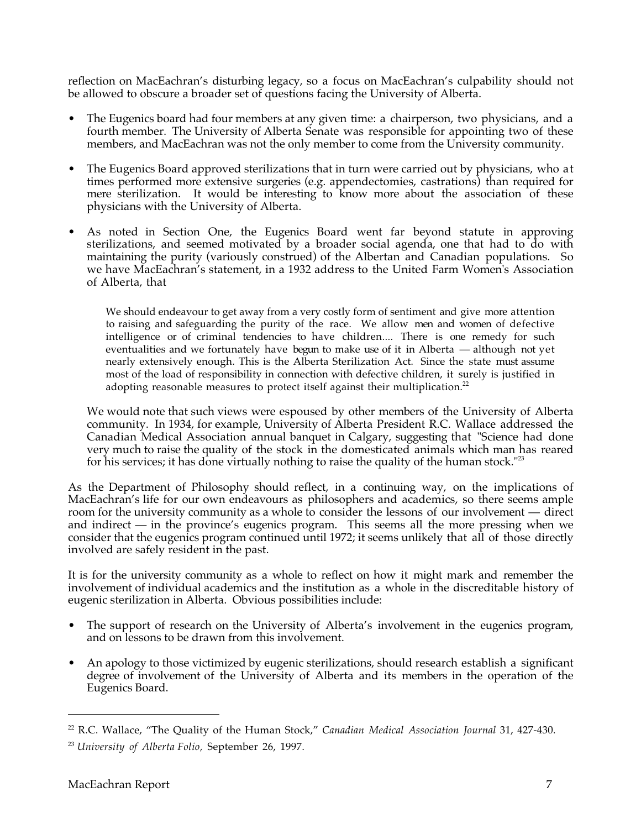reflection on MacEachran's disturbing legacy, so a focus on MacEachran's culpability should not be allowed to obscure a broader set of questions facing the University of Alberta.

- The Eugenics board had four members at any given time: a chairperson, two physicians, and a fourth member. The University of Alberta Senate was responsible for appointing two of these members, and MacEachran was not the only member to come from the University community.
- The Eugenics Board approved sterilizations that in turn were carried out by physicians, who at times performed more extensive surgeries (e.g. appendectomies, castrations) than required for mere sterilization. It would be interesting to know more about the association of these physicians with the University of Alberta.
- As noted in Section One, the Eugenics Board went far beyond statute in approving sterilizations, and seemed motivated by a broader social agenda, one that had to do with maintaining the purity (variously construed) of the Albertan and Canadian populations. So we have MacEachran's statement, in a 1932 address to the United Farm Women's Association of Alberta, that

We should endeavour to get away from a very costly form of sentiment and give more attention to raising and safeguarding the purity of the race. We allow men and women of defective intelligence or of criminal tendencies to have children.... There is one remedy for such eventualities and we fortunately have begun to make use of it in Alberta — although not yet nearly extensively enough. This is the Alberta Sterilization Act. Since the state must assume most of the load of responsibility in connection with defective children, it surely is justified in adopting reasonable measures to protect itself against their multiplication.<sup>22</sup>

We would note that such views were espoused by other members of the University of Alberta community. In 1934, for example, University of Alberta President R.C. Wallace addressed the Canadian Medical Association annual banquet in Calgary, suggesting that "Science had done very much to raise the quality of the stock in the domesticated animals which man has reared for his services; it has done virtually nothing to raise the quality of the human stock."<sup>23</sup>

As the Department of Philosophy should reflect, in a continuing way, on the implications of MacEachran's life for our own endeavours as philosophers and academics, so there seems ample room for the university community as a whole to consider the lessons of our involvement — direct and indirect — in the province's eugenics program. This seems all the more pressing when we consider that the eugenics program continued until 1972; it seems unlikely that all of those directly involved are safely resident in the past.

It is for the university community as a whole to reflect on how it might mark and remember the involvement of individual academics and the institution as a whole in the discreditable history of eugenic sterilization in Alberta. Obvious possibilities include:

- The support of research on the University of Alberta's involvement in the eugenics program, and on lessons to be drawn from this involvement.
- An apology to those victimized by eugenic sterilizations, should research establish a significant degree of involvement of the University of Alberta and its members in the operation of the Eugenics Board.

-

<sup>22</sup> R.C. Wallace, "The Quality of the Human Stock," *Canadian Medical Association Journal* 31, 427-430.

<sup>23</sup> *University of Alberta Folio,* September 26, 1997.